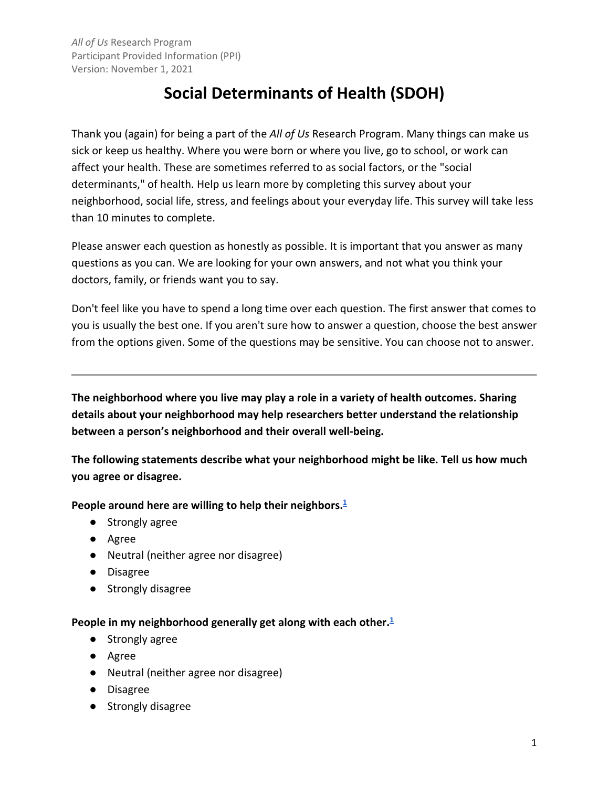# **Social Determinants of Health (SDOH)**

 Thank you (again) for being a part of the *All of Us* Research Program. Many things can make us sick or keep us healthy. Where you were born or where you live, go to school, or work can affect your health. These are sometimes referred to as social factors, or the "social determinants," of health. Help us learn more by completing this survey about your neighborhood, social life, stress, and feelings about your everyday life. This survey will take less than 10 minutes to complete.

 questions as you can. We are looking for your own answers, and not what you think your doctors, family, or friends want you to say. Please answer each question as honestly as possible. It is important that you answer as many

 Don't feel like you have to spend a long time over each question. The first answer that comes to you is usually the best one. If you aren't sure how to answer a question, choose the best answer from the options given. Some of the questions may be sensitive. You can choose not to answer.

 **The neighborhood where you live may play a role in a variety of health outcomes. Sharing details about your neighborhood may help researchers better understand the relationship between a person's neighborhood and their overall well-being.** 

**The following statements describe what your neighborhood might be like. Tell us how much you agree or disagree.** 

 **People around here are willing to help their neighbors.[1](#page-19-1)** 

- Strongly agree
- Agree
- Neutral (neither agree nor disagree)
- Disagree
- Strongly disagree

### **People in my neighborhood generally get along with each other[.1](#page-19-0)**

- Strongly agree
- Agree
- Neutral (neither agree nor disagree)
- Disagree
- Strongly disagree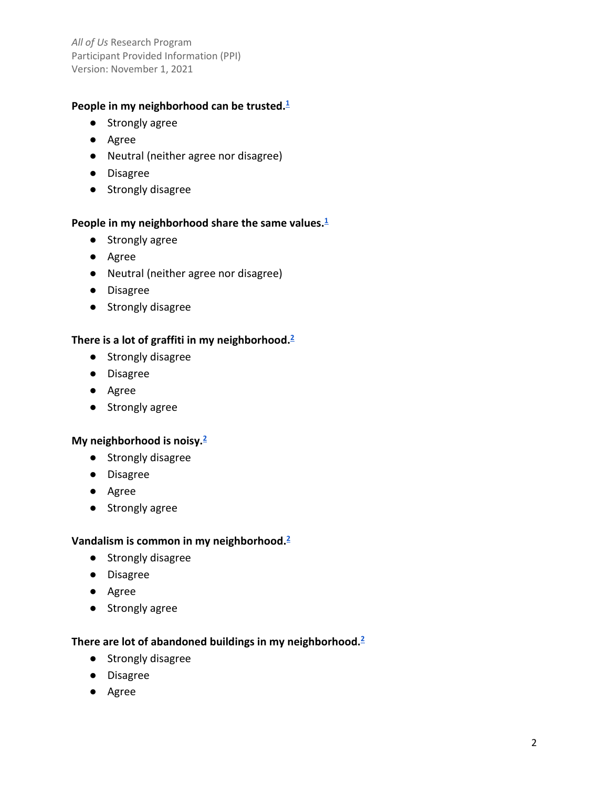# **People in my neighborhood can be trusted[.1](#page-19-0)**

- Strongly agree
- Agree
- Neutral (neither agree nor disagree)
- Disagree
- Strongly disagree

### People in my neighborhood share the same values.<sup>1</sup>

- Strongly agree
- Agree
- Neutral (neither agree nor disagree)
- Disagree
- Strongly disagree

# **There is a lot of graffiti in my neighborhood[.2](#page-19-0)**

- Strongly disagree
- Disagree
- Agree
- Strongly agree

### **My neighborhood is noisy[.2](#page-19-0)**

- Strongly disagree
- Disagree
- Agree
- Strongly agree

# **Vandalism is common in my neighborhood[.2](#page-19-0)**

- Strongly disagree
- Disagree
- Agree
- Strongly agree

### **There are lot of abandoned buildings in my neighborhood[.2](#page-19-0)**

- Strongly disagree
- Disagree
- Agree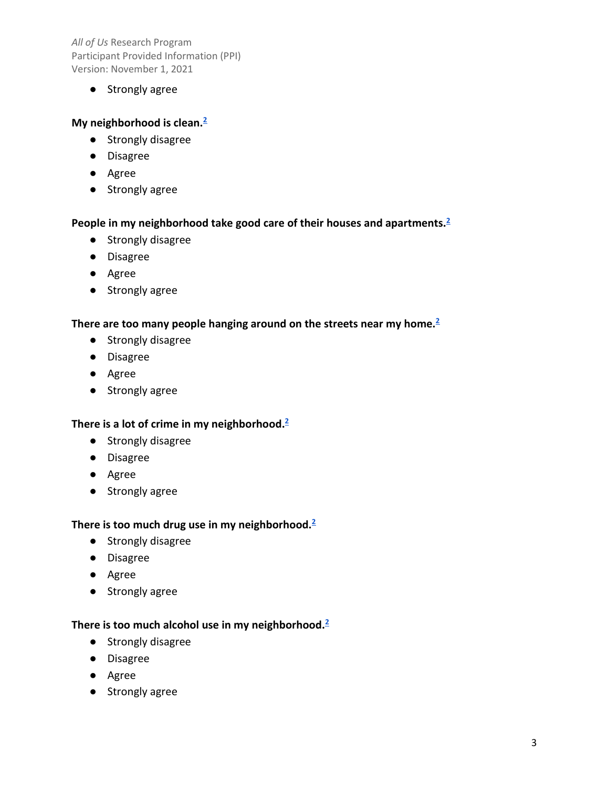● Strongly agree

# **My neighborhood is clean[.2](#page-19-0)**

- Strongly disagree
- Disagree
- Agree
- Strongly agree

### **People in my neighborhood take good care of their houses and apartments[.2](#page-19-0)**

- Strongly disagree
- Disagree
- Agree
- Strongly agree

# **There are too many people hanging around on the streets near my home[.2](#page-19-0)**

- Strongly disagree
- Disagree
- Agree
- Strongly agree

# **There is a lot of crime in my neighborhood[.2](#page-19-0)**

- Strongly disagree
- Disagree
- Agree
- Strongly agree

# **There is too much drug use in my neighborhood[.2](#page-19-0)**

- Strongly disagree
- Disagree
- Agree
- Strongly agree

### **There is too much alcohol use in my neighborhood[.2](#page-19-0)**

- Strongly disagree
- Disagree
- Agree
- Strongly agree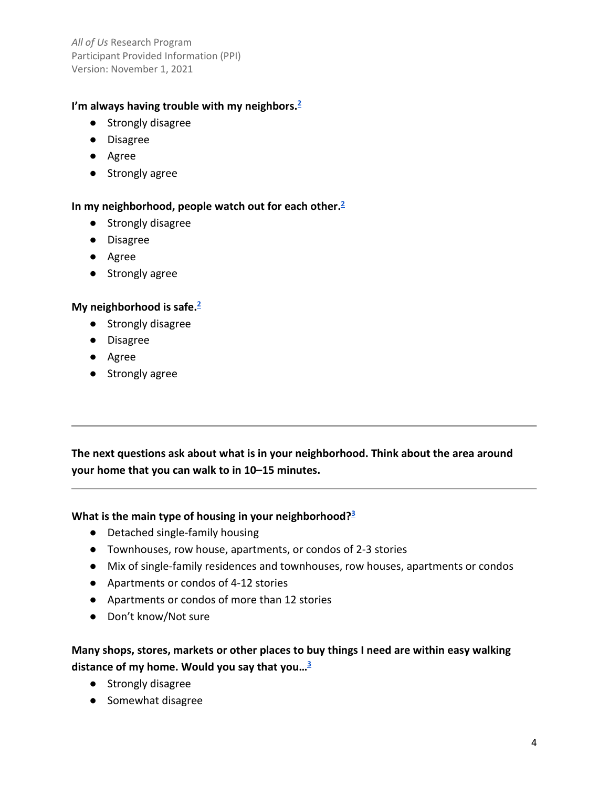# **I'm always having trouble with my neighbors[.2](#page-19-0)**

- Strongly disagree
- Disagree
- Agree
- Strongly agree

# **In my neighborhood, people watch out for each other[.2](#page-19-0)**

- Strongly disagree
- Disagree
- Agree
- Strongly agree

# **My neighborhood is safe[.2](#page-19-0)**

- Strongly disagree
- Disagree
- Agree
- Strongly agree

**The next questions ask about what is in your neighborhood. Think about the area around your home that you can walk to in 10–15 minutes.** 

### **What is the main type of housing in your neighborhood[?3](#page-19-0)**

- Detached single-family housing
- Townhouses, row house, apartments, or condos of 2-3 stories
- Mix of single-family residences and townhouses, row houses, apartments or condos
- Apartments or condos of 4-12 stories
- Apartments or condos of more than 12 stories
- Don't know/Not sure

# **Many shops, stores, markets or other places to buy things I need are within easy walking distance of my home. Would you say that you[…3](#page-19-1)**

- Strongly disagree
- Somewhat disagree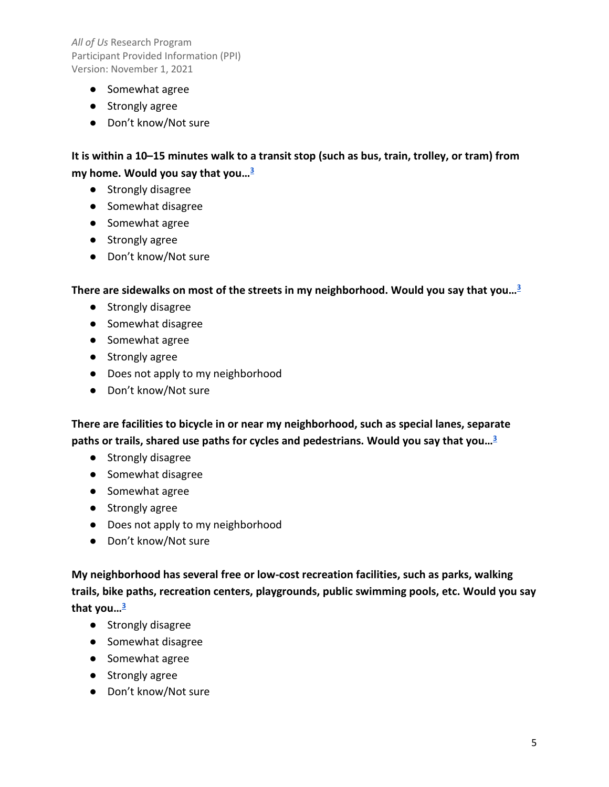- Somewhat agree
- Strongly agree
- Don't know/Not sure

 **It is within a 10–15 minutes walk to a transit stop (such as bus, train, trolley, or tram) from my home. Would you say that you[…3](#page-19-0)** 

- Strongly disagree
- Somewhat disagree
- Somewhat agree
- Strongly agree
- Don't know/Not sure

 **There are sidewalks on most of the streets in my neighborhood. Would you say that you[…3](#page-19-0)** 

- Strongly disagree
- Somewhat disagree
- Somewhat agree
- Strongly agree
- Does not apply to my neighborhood
- Don't know/Not sure

 **There are facilities to bicycle in or near my neighborhood, such as special lanes, separate paths or trails, shared use paths for cycles and pedestrians. Would you say that you[…3](#page-19-0)** 

- Strongly disagree
- Somewhat disagree
- Somewhat agree
- Strongly agree
- Does not apply to my neighborhood
- Don't know/Not sure

**My neighborhood has several free or low-cost recreation facilities, such as parks, walking trails, bike paths, recreation centers, playgrounds, public swimming pools, etc. Would you say that you[…3](#page-19-0)** 

- Strongly disagree
- Somewhat disagree
- Somewhat agree
- Strongly agree
- Don't know/Not sure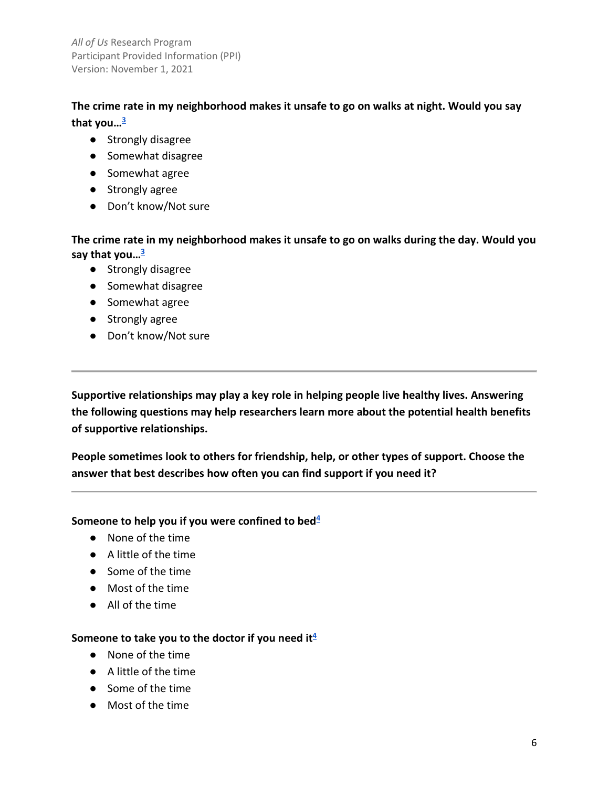**The crime rate in my neighborhood makes it unsafe to go on walks at night. Would you say that you[…3](#page-19-0)** 

- Strongly disagree
- Somewhat disagree
- Somewhat agree
- Strongly agree
- Don't know/Not sure

**The crime rate in my neighborhood makes it unsafe to go on walks during the day. Would you say that you[…3](#page-19-0)** 

- Strongly disagree
- Somewhat disagree
- Somewhat agree
- Strongly agree
- Don't know/Not sure

**Supportive relationships may play a key role in helping people live healthy lives. Answering the following questions may help researchers learn more about the potential health benefits of supportive relationships.** 

 **People sometimes look to others for friendship, help, or other types of support. Choose the answer that best describes how often you can find support if you need it?** 

# $\blacksquare$  Someone to help you if you were confined to bed $\sp4$

- None of the time
- A little of the time
- Some of the time
- Most of the time
- All of the time

# ${\sf Some}$  one to take you to the doctor if you need it<sup>4</sup>

- None of the time
- A little of the time
- Some of the time
- Most of the time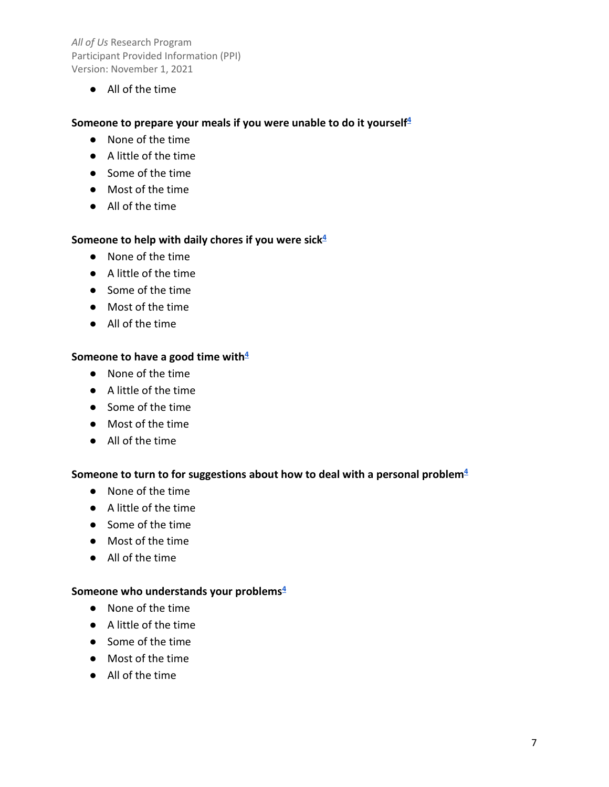● All of the time

### Someone to prepare your meals if you were unable to do it yourself<sup>4</sup>

- None of the time
- A little of the time
- Some of the time
- Most of the time
- All of the time

#### Someone to help with daily chores if you were sick<sup>4</sup>

- None of the time
- A little of the time
- Some of the time
- Most of the time
- All of the time

# $\blacksquare$  Someone to have a good time with $\smash{\frac{4}{5}}$

- None of the time
- A little of the time
- Some of the time
- Most of the time
- All of the time

#### Someone to turn to for suggestions about how to deal with a personal problem<sup>4</sup>

- None of the time
- A little of the time
- Some of the time
- Most of the time
- All of the time

#### **Someone who understands your problem[s4](#page-19-0)**

- None of the time
- A little of the time
- Some of the time
- Most of the time
- All of the time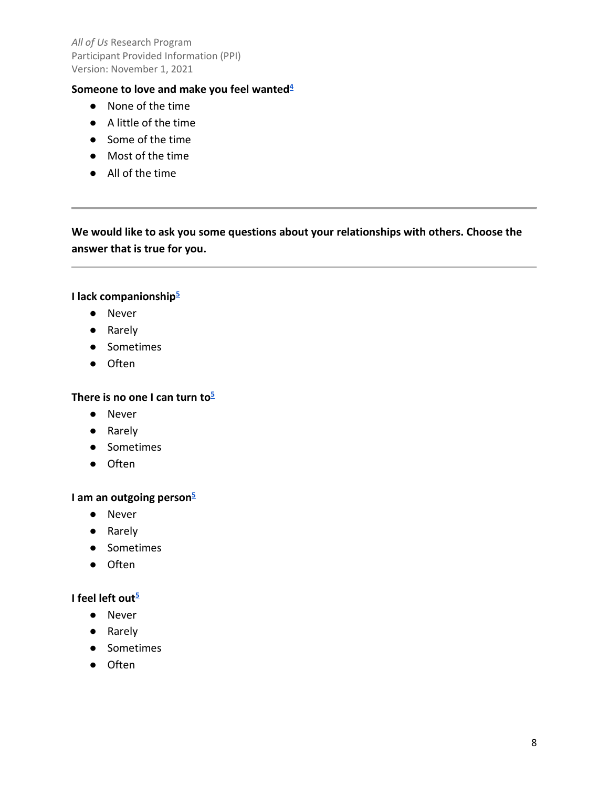#### **Someone to love and make you feel wanted**<sup>4</sup>

- None of the time
- A little of the time
- Some of the time
- Most of the time
- All of the time

# **We would like to ask you some questions about your relationships with others. Choose the answer that is true for you.**

#### **I lack companionshi[p5](#page-19-0)**

- Never
- Rarely
- Sometimes
- Often

#### **There is no one I can turn t[o5](#page-19-0)**

- Never
- Rarely
- Sometimes
- Often

#### **I am an outgoing perso[n5](#page-19-0)**

- Never
- Rarely
- Sometimes
- Often

# **I** feel left out<sup>5</sup>

- Never
- Rarely
- Sometimes
- Often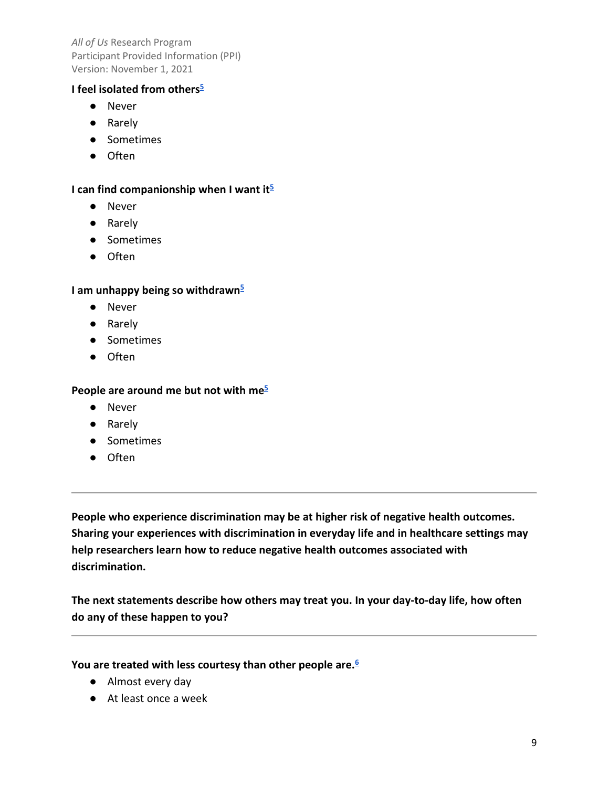### **I** feel isolated from others<sup>5</sup>

- Never
- Rarely
- Sometimes
- Often

### **I can find companionship when I want i[t5](#page-19-0)**

- Never
- Rarely
- Sometimes
- Often

# **I am unhappy being so withdraw[n5](#page-19-0)**

- Never
- Rarely
- Sometimes
- Often

#### **People are around me but not with m[e5](#page-19-0)**

- Never
- Rarely
- Sometimes
- Often

 **People who experience discrimination may be at higher risk of negative health outcomes. help researchers learn how to reduce negative health outcomes associated with Sharing your experiences with discrimination in everyday life and in healthcare settings may discrimination.** 

**The next statements describe how others may treat you. In your day-to-day life, how often do any of these happen to you?** 

### **You are treated with less courtesy than other people are[.6](#page-19-0)**

- Almost every day
- At least once a week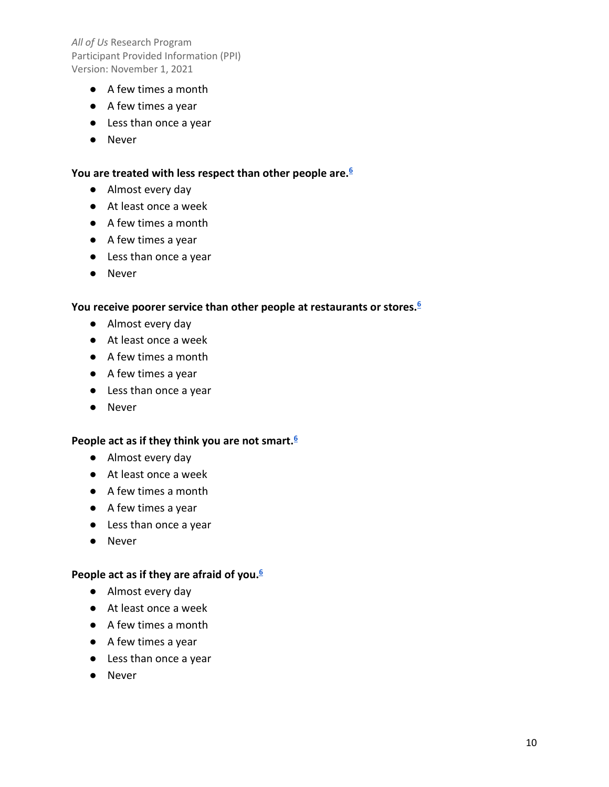- A few times a month
- A few times a year
- Less than once a year
- Never

#### **You are treated with less respect than other people are[.6](#page-19-0)**

- Almost every day
- At least once a week
- A few times a month
- A few times a year
- Less than once a year
- Never

#### **You receive poorer service than other people at restaurants or stores[.6](#page-19-0)**

- Almost every day
- At least once a week
- A few times a month
- A few times a year
- Less than once a year
- Never

#### **People act as if they think you are not smart[.6](#page-19-0)**

- Almost every day
- At least once a week
- A few times a month
- A few times a year
- Less than once a year
- Never

### **People act as if they are afraid of you[.6](#page-19-0)**

- Almost every day
- At least once a week
- A few times a month
- A few times a year
- Less than once a year
- Never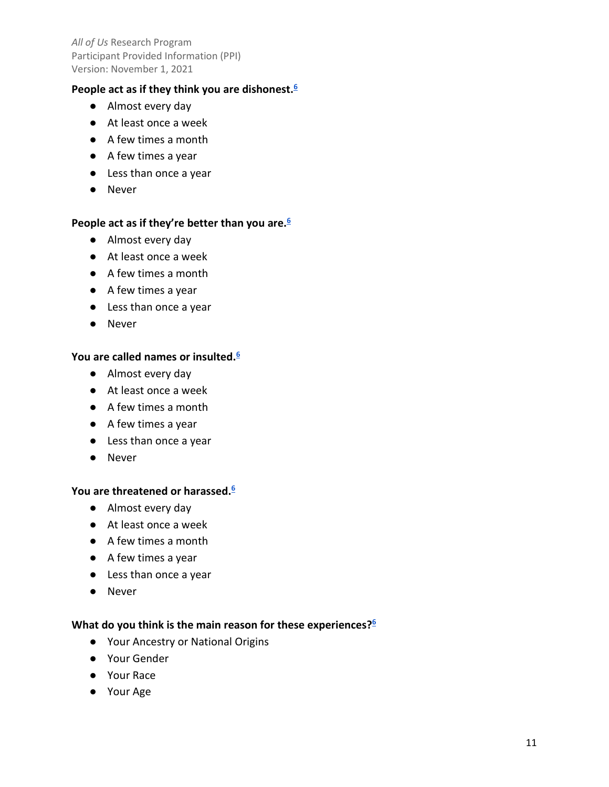### **People act as if they think you are dishonest[.6](#page-19-0)**

- Almost every day
- At least once a week
- A few times a month
- A few times a year
- Less than once a year
- Never

### **People act as if they're better than you are[.6](#page-19-0)**

- Almost every day
- At least once a week
- A few times a month
- A few times a year
- Less than once a year
- Never

# **You are called names or insulted[.6](#page-19-0)**

- Almost every day
- At least once a week
- A few times a month
- A few times a year
- Less than once a year
- Never

#### **You are threatened or harassed[.6](#page-19-0)**

- Almost every day
- At least once a week
- A few times a month
- A few times a year
- Less than once a year
- Never

#### **What do you think is the main reason for these experiences[?6](#page-19-0)**

- Your Ancestry or National Origins
- Your Gender
- Your Race
- Your Age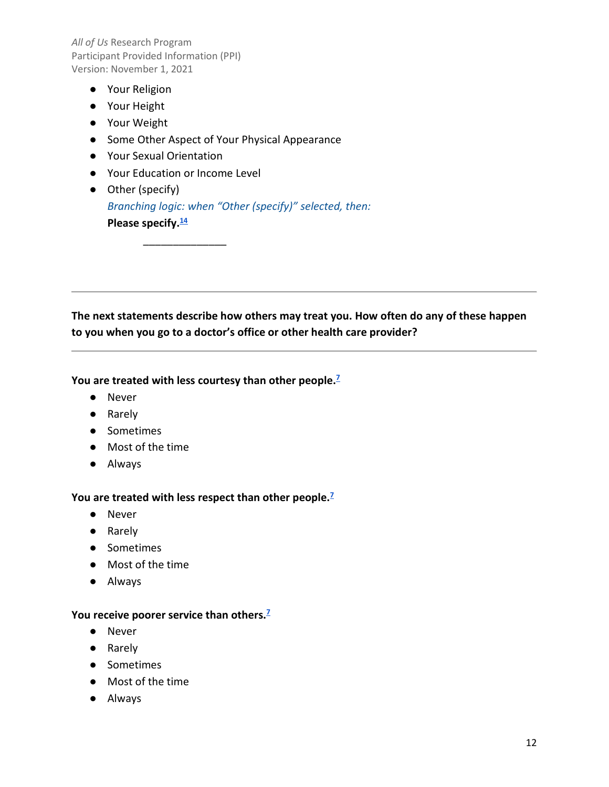- Your Religion
- Your Height
- Your Weight
- Some Other Aspect of Your Physical Appearance
- Your Sexual Orientation
- Your Education or Income Level

\_\_\_\_\_\_\_\_\_\_\_\_\_\_

 **Please specify.[14](#page-19-1)**  ● Other (specify) *Branching logic: when "Other (specify)" selected, then:* 

 **to you when you go to a doctor's office or other health care provider? The next statements describe how others may treat you. How often do any of these happen** 

#### **You are treated with less courtesy than other people[.7](#page-19-0)**

- Never
- Rarely
- Sometimes
- Most of the time
- Always

#### **You are treated with less respect than other people[.7](#page-19-0)**

- Never
- Rarely
- Sometimes
- Most of the time
- Always

#### **You receive poorer service than others[.7](#page-19-0)**

- Never
- Rarely
- Sometimes
- Most of the time
- Always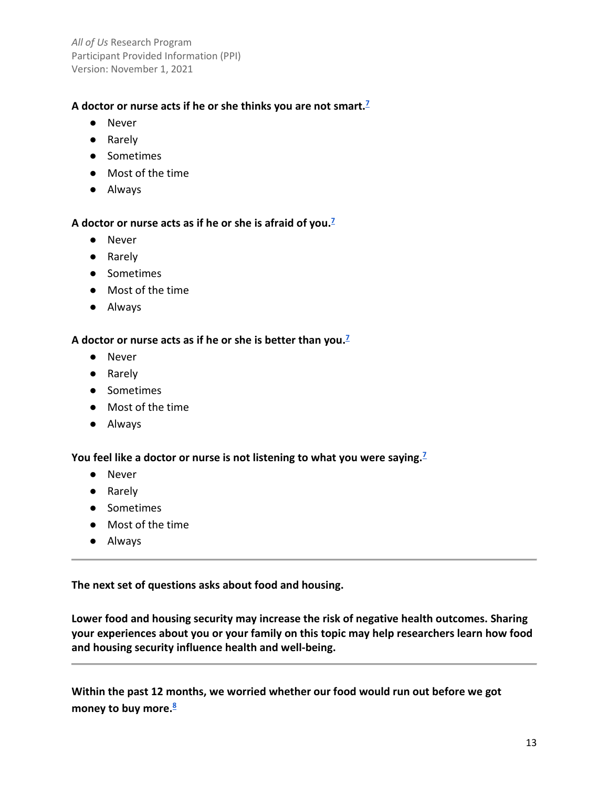# **A doctor or nurse acts if he or she thinks you are not smart[.7](#page-19-0)**

- Never
- Rarely
- Sometimes
- Most of the time
- Always

### **A doctor or nurse acts as if he or she is afraid of you[.7](#page-19-0)**

- Never
- Rarely
- Sometimes
- Most of the time
- Always

### **A doctor or nurse acts as if he or she is better than you[.7](#page-19-0)**

- Never
- Rarely
- Sometimes
- Most of the time
- Always

# **You feel like a doctor or nurse is not listening to what you were saying[.7](#page-19-0)**

- Never
- Rarely
- Sometimes
- Most of the time
- Always

**The next set of questions asks about food and housing.** 

 **Lower food and housing security may increase the risk of negative health outcomes. Sharing your experiences about you or your family on this topic may help researchers learn how food and housing security influence health and well-being.** 

 **Within the past 12 months, we worried whether our food would run out before we got money to buy more[.8](#page-19-0)**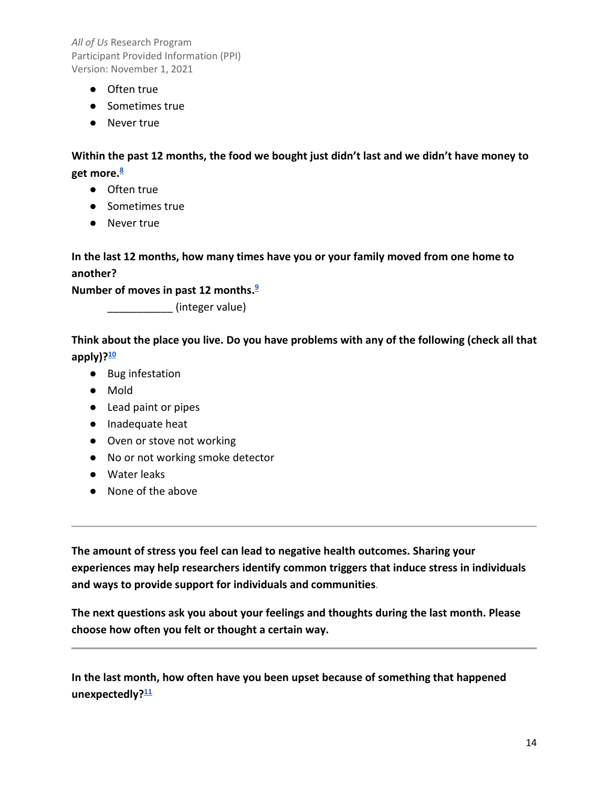- Often true
- Sometimes true
- Never true

 **get more[.8](#page-19-0)  Within the past 12 months, the food we bought just didn't last and we didn't have money to** 

- Often true
- Sometimes true
- Never true

**In the last 12 months, how many times have you or your family moved from one home to another?** 

 **Number of moves in past 12 months[.9](#page-19-0)** 

\_\_\_\_\_\_\_\_\_\_\_ (integer value)

**Think about the place you live. Do you have problems with any of the following (check all that apply)[?10](#page-19-0)** 

- Bug infestation
- Mold
- Lead paint or pipes
- Inadequate heat
- Oven or stove not working
- No or not working smoke detector
- Water leaks
- None of the above

 **and ways to provide support for individuals and communities. The amount of stress you feel can lead to negative health outcomes. Sharing your experiences may help researchers identify common triggers that induce stress in individuals** 

**The next questions ask you about your feelings and thoughts during the last month. Please choose how often you felt or thought a certain way.** 

**In the last month, how often have you been upset because of something that happened unexpectedly[?11](#page-19-0)**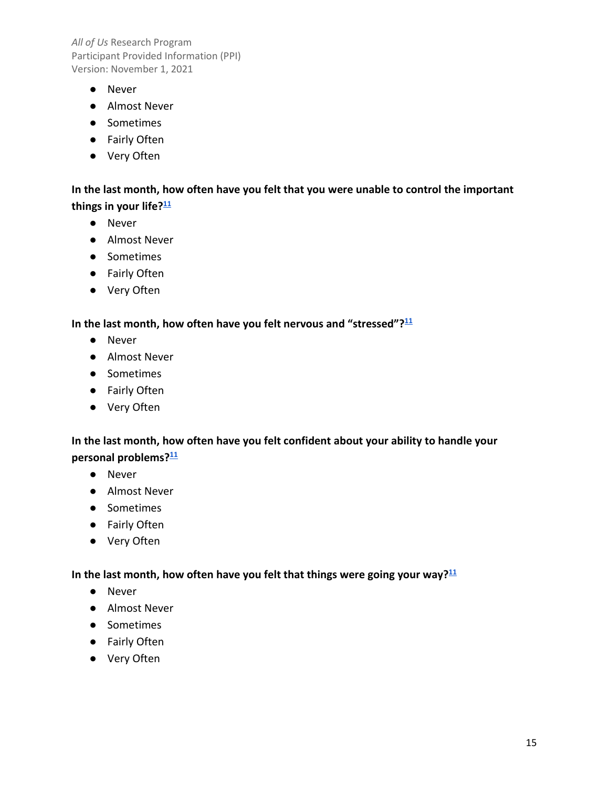- Never
- Almost Never
- Sometimes
- Fairly Often
- Very Often

**In the last month, how often have you felt that you were unable to control the important things in your life[?11](#page-19-0)** 

- Never
- Almost Never
- Sometimes
- Fairly Often
- Very Often

#### **In the last month, how often have you felt nervous and "stressed"[?11](#page-19-0)**

- Never
- Almost Never
- Sometimes
- Fairly Often
- Very Often

# **personal problems[?11](#page-19-0)  In the last month, how often have you felt confident about your ability to handle your**

- Never
- Almost Never
- Sometimes
- Fairly Often
- Very Often

### **In the last month, how often have you felt that things were going your way[?11](#page-19-0)**

- Never
- Almost Never
- Sometimes
- Fairly Often
- Very Often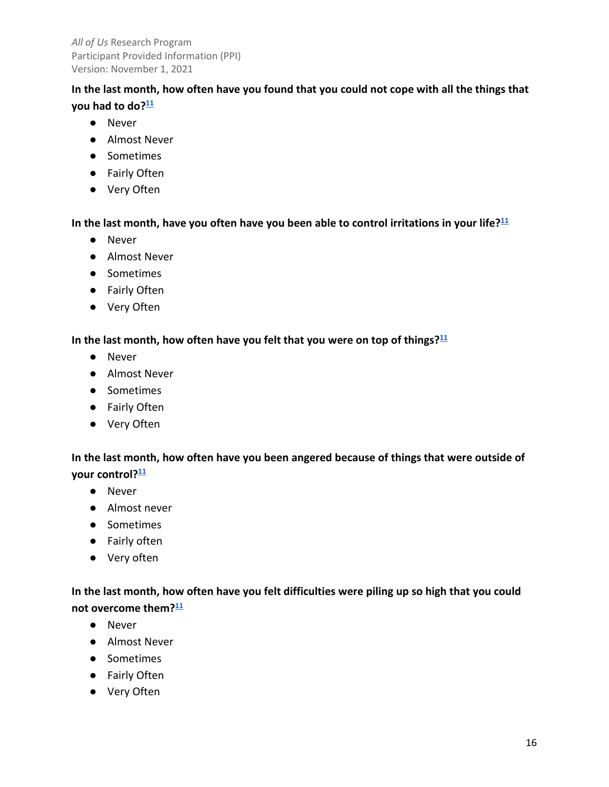# **In the last month, how often have you found that you could not cope with all the things that you had to do[?11](#page-19-0)**

- Never
- Almost Never
- Sometimes
- Fairly Often
- Very Often

## **In the last month, have you often have you been able to control irritations in your life[?11](#page-19-0)**

- Never
- Almost Never
- Sometimes
- Fairly Often
- Very Often

# **In the last month, how often have you felt that you were on top of things[?11](#page-19-0)**

- Never
- Almost Never
- Sometimes
- Fairly Often
- Very Often

# **In the last month, how often have you been angered because of things that were outside of your control[?11](#page-19-0)**

- Never
- Almost never
- Sometimes
- Fairly often
- Very often

# **In the last month, how often have you felt difficulties were piling up so high that you could not overcome them[?11](#page-19-0)**

- Never
- Almost Never
- Sometimes
- Fairly Often
- Very Often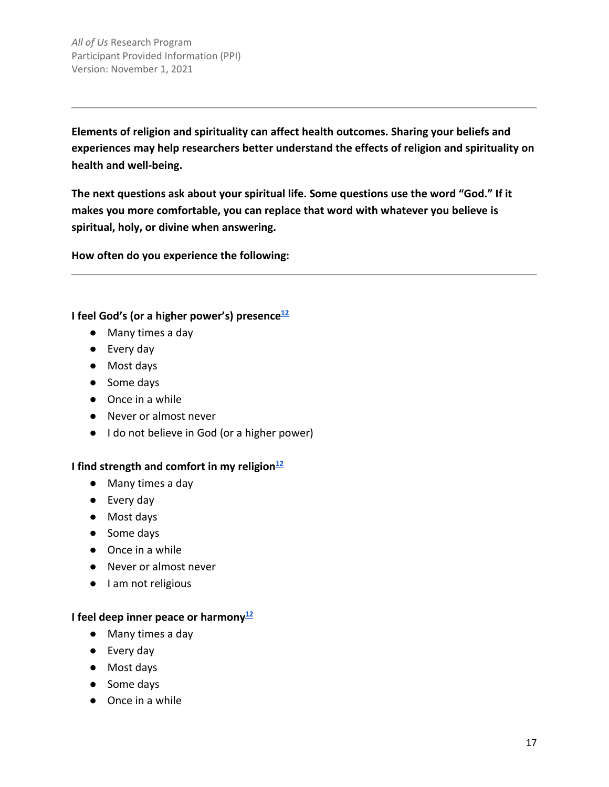**experiences may help researchers better understand the effects of religion and spirituality on Elements of religion and spirituality can affect health outcomes. Sharing your beliefs and health and well-being.** 

 **The next questions ask about your spiritual life. Some questions use the word "God." If it makes you more comfortable, you can replace that word with whatever you believe is spiritual, holy, or divine when answering.** 

**How often do you experience the following:** 

**I** feel God's (or a higher power's) presence<sup>12</sup>

- Many times a day
- Every day
- Most days
- Some days
- Once in a while
- Never or almost never
- I do not believe in God (or a higher power)

#### **I** find strength and comfort in my religion<sup>12</sup>

- Many times a day
- Every day
- Most days
- Some days
- Once in a while
- Never or almost never
- I am not religious

### **I** feel deep inner peace or harmony<sup>12</sup>

- Many times a day
- Every day
- Most days
- Some days
- Once in a while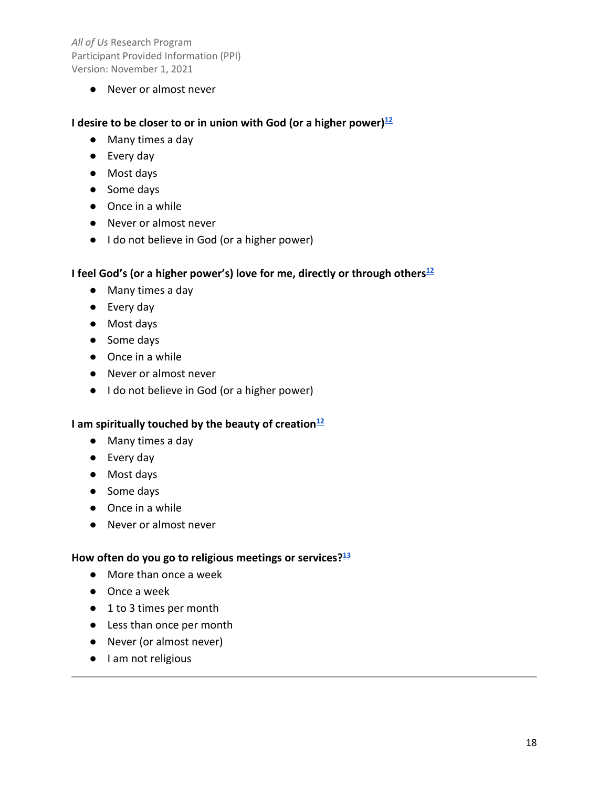● Never or almost never

#### **I** desire to be closer to or in union with God (or a higher power)<sup>12</sup>

- Many times a day
- Every day
- Most days
- Some days
- Once in a while
- Never or almost never
- I do not believe in God (or a higher power)

### **I** feel God's (or a higher power's) love for me, directly or through others<sup>12</sup>

- Many times a day
- Every day
- Most days
- Some days
- Once in a while
- Never or almost never
- I do not believe in God (or a higher power)

# **l** am spiritually touched by the beauty of creation<sup>12</sup>

- Many times a day
- Every day
- Most days
- Some days
- Once in a while
- Never or almost never

## **How often do you go to religious meetings or services[?13](#page-19-0)**

- More than once a week
- Once a week
- 1 to 3 times per month
- Less than once per month
- Never (or almost never)
- I am not religious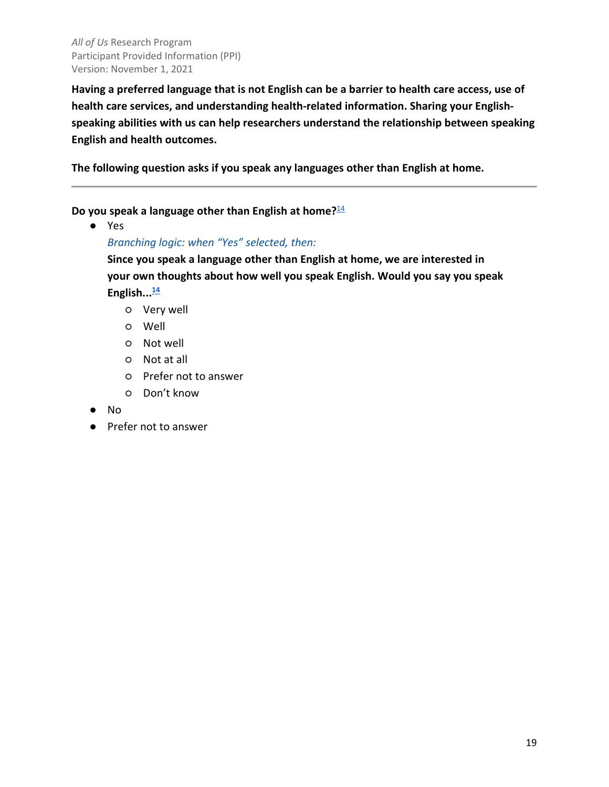**Having a preferred language that is not English can be a barrier to health care access, use of health care services, and understanding health-related information. Sharing your Englishspeaking abilities with us can help researchers understand the relationship between speaking English and health outcomes.** 

**The following question asks if you speak any languages other than English at home.** 

**Do you speak a language other than English at home?**[14](#page-19-0) 

● Yes

*Branching logic: when "Yes" selected, then:* 

**Since you speak a language other than English at home, we are interested in your own thoughts about how well you speak English. Would you say you speak English..[.14](#page-19-0)** 

- Very well
- Well
- Not well
- Not at all
- Prefer not to answer
- Don't know
- No
- Prefer not to answer